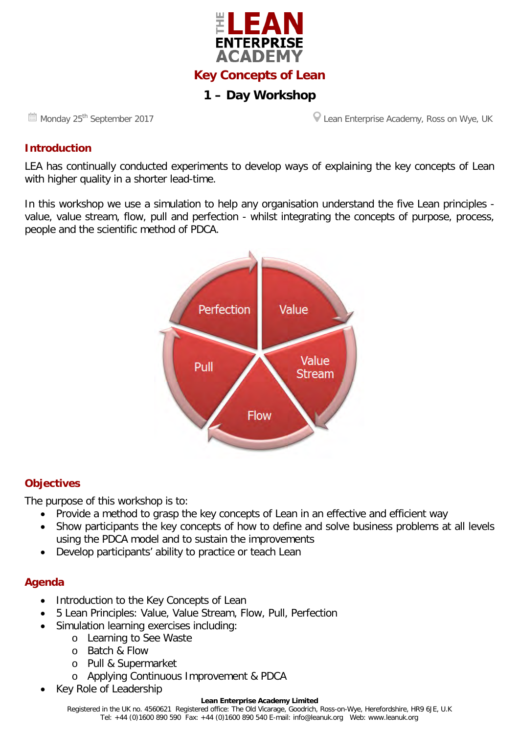

# **1 – Day Workshop**

**Monday 25<sup>th</sup> September 2017 Lean Enterprise Academy, Ross on Wye, UK** Lean Enterprise Academy, Ross on Wye, UK

#### **Introduction**

LEA has continually conducted experiments to develop ways of explaining the key concepts of Lean with higher quality in a shorter lead-time.

In this workshop we use a simulation to help any organisation understand the five Lean principles value, value stream, flow, pull and perfection - whilst integrating the concepts of purpose, process, people and the scientific method of PDCA.



### **Objectives**

The purpose of this workshop is to:

- Provide a method to grasp the key concepts of Lean in an effective and efficient way
- Show participants the key concepts of how to define and solve business problems at all levels using the PDCA model and to sustain the improvements
- Develop participants' ability to practice or teach Lean

#### **Agenda**

- Introduction to the Key Concepts of Lean
- 5 Lean Principles: Value, Value Stream, Flow, Pull, Perfection
- Simulation learning exercises including:
	- o Learning to See Waste
		- o Batch & Flow
		- o Pull & Supermarket
		- o Applying Continuous Improvement & PDCA
- Key Role of Leadership

#### **Lean Enterprise Academy Limited**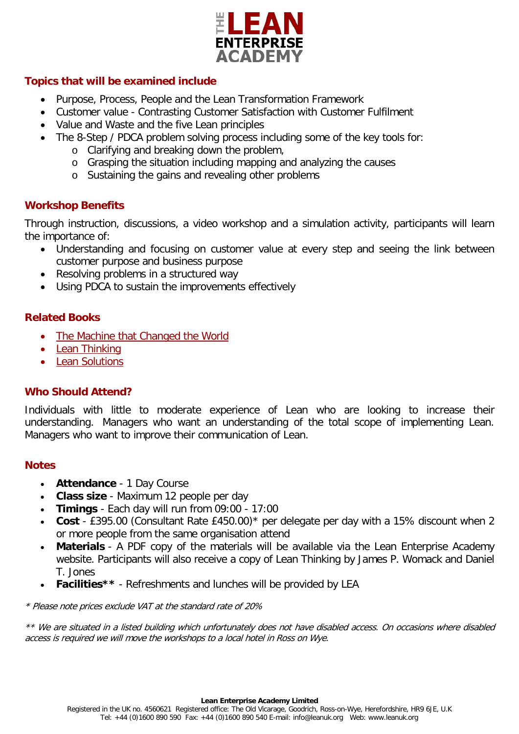

# **Topics that will be examined include**

- Purpose, Process, People and the Lean Transformation Framework
- Customer value Contrasting Customer Satisfaction with Customer Fulfilment
- Value and Waste and the five Lean principles
- The 8-Step / PDCA problem solving process including some of the key tools for:
	- o Clarifying and breaking down the problem,
	- o Grasping the situation including mapping and analyzing the causes
	- o Sustaining the gains and revealing other problems

# **Workshop Benefits**

Through instruction, discussions, a video workshop and a simulation activity, participants will learn the importance of:

- Understanding and focusing on customer value at every step and seeing the link between customer purpose and business purpose
- Resolving problems in a structured way
- Using PDCA to sustain the improvements effectively

# **Related Books**

- [The Machine that Changed the World](http://www.leanuk.org/shop/all-lean-book-shop-lean-enterprise-academy/the-machine-that-changed-the-world)
- [Lean Thinking](http://www.leanuk.org/shop/all-lean-book-shop-lean-enterprise-academy/lean-thinking)
- [Lean Solutions](http://www.leanuk.org/shop/all-lean-book-shop-lean-enterprise-academy/lean-solutions)

# **Who Should Attend?**

Individuals with little to moderate experience of Lean who are looking to increase their understanding. Managers who want an understanding of the total scope of implementing Lean. Managers who want to improve their communication of Lean.

### **Notes**

- **Attendance** 1 Day Course
- **Class size** Maximum 12 people per day
- **Timings** Each day will run from 09:00 17:00
- **Cost** £395.00 (Consultant Rate £450.00)\* per delegate per day with a 15% discount when 2 or more people from the same organisation attend
- **Materials** A PDF copy of the materials will be available via the Lean Enterprise Academy website. Participants will also receive a copy of Lean Thinking by James P. Womack and Daniel T. Jones
- **Facilities\*\*** Refreshments and lunches will be provided by LEA

\* Please note prices exclude VAT at the standard rate of 20%

\*\* We are situated in a listed building which unfortunately does not have disabled access. On occasions where disabled access is required we will move the workshops to a local hotel in Ross on Wye.